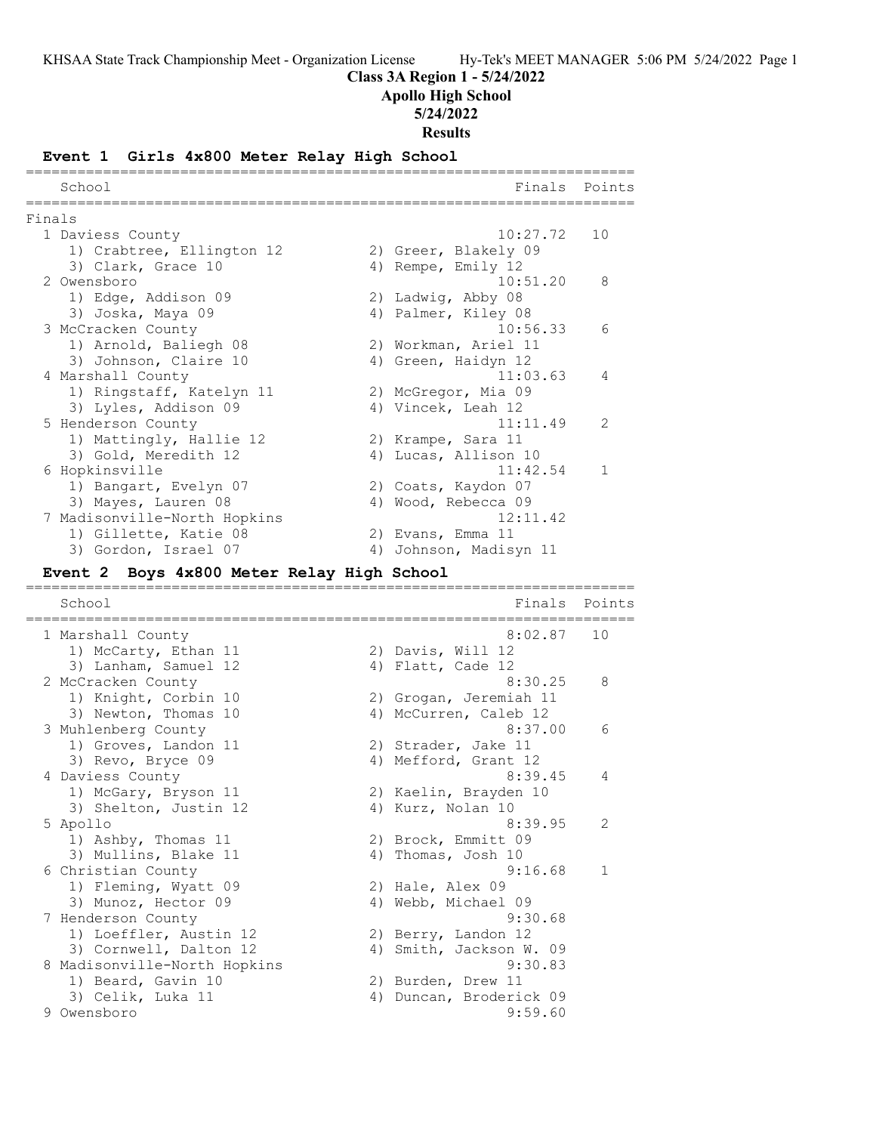**Class 3A Region 1 - 5/24/2022**

**Apollo High School**

**5/24/2022**

**Results**

# **Event 1 Girls 4x800 Meter Relay High School**

|        | ========<br>School                                                 | Finals                                    | Points |
|--------|--------------------------------------------------------------------|-------------------------------------------|--------|
| Finals |                                                                    |                                           |        |
|        | 1 Daviess County                                                   | 10:27.72                                  | 10     |
|        | 1) Crabtree, Ellington 12                                          | 2) Greer, Blakely 09                      |        |
|        | 3) Clark, Grace 10                                                 | 4) Rempe, Emily 12                        |        |
|        | 2 Owensboro                                                        | 10:51.20                                  | 8      |
|        | 1) Edge, Addison 09                                                | 2) Ladwig, Abby 08                        |        |
|        | 3) Joska, Maya 09                                                  | 4) Palmer, Kiley 08                       |        |
|        | 3 McCracken County                                                 | 10:56.33                                  | 6      |
|        | 1) Arnold, Baliegh 08                                              | 2) Workman, Ariel 11                      |        |
|        | 3) Johnson, Claire 10                                              | 4) Green, Haidyn 12                       |        |
|        | 4 Marshall County                                                  | 11:03.63                                  | 4      |
|        | 1) Ringstaff, Katelyn 11                                           | 2) McGregor, Mia 09<br>4) Vincek, Leah 12 |        |
|        | 3) Lyles, Addison 09<br>5 Henderson County                         | 11:11.49                                  | 2      |
|        | 1) Mattingly, Hallie 12                                            | 2) Krampe, Sara 11                        |        |
|        | 3) Gold, Meredith 12                                               | 4) Lucas, Allison 10                      |        |
|        | 6 Hopkinsville                                                     | 11:42.54                                  | 1      |
|        | 1) Bangart, Evelyn 07                                              | 2) Coats, Kaydon 07                       |        |
|        | 3) Mayes, Lauren 08                                                | 4) Wood, Rebecca 09                       |        |
|        | 7 Madisonville-North Hopkins                                       | 12:11.42                                  |        |
|        | 1) Gillette, Katie 08                                              | 2) Evans, Emma 11                         |        |
|        | 3) Gordon, Israel 07                                               | 4) Johnson, Madisyn 11                    |        |
|        | Event 2 Boys 4x800 Meter Relay High School<br>;=================== |                                           |        |
|        |                                                                    |                                           |        |
|        | School                                                             | Finals                                    | Points |
|        |                                                                    |                                           | 10     |
|        | 1 Marshall County                                                  | 8:02.87                                   |        |
|        | 1) McCarty, Ethan 11<br>3) Lanham, Samuel 12                       | 2) Davis, Will 12                         |        |
|        | 2 McCracken County                                                 | 4) Flatt, Cade 12<br>8:30.25              | 8      |
|        | 1) Knight, Corbin 10                                               | 2) Grogan, Jeremiah 11                    |        |
|        | 3) Newton, Thomas 10                                               | 4) McCurren, Caleb 12                     |        |
|        | 3 Muhlenberg County                                                | 8:37.00                                   | 6      |
|        | 1) Groves, Landon 11                                               | 2) Strader, Jake 11                       |        |
|        | 3) Revo, Bryce 09                                                  | 4) Mefford, Grant 12                      |        |
|        | 4 Daviess County                                                   | 8:39.45                                   | 4      |
|        | 1) McGary, Bryson 11                                               | 2) Kaelin, Brayden 10                     |        |
|        | 3) Shelton, Justin 12                                              | 4) Kurz, Nolan 10                         |        |
|        | 5 Apollo                                                           | 8:39.95                                   | 2      |
|        | 1) Ashby, Thomas 11                                                | 2) Brock, Emmitt 09                       |        |
|        | 3) Mullins, Blake 11                                               | 4) Thomas, Josh 10<br>9:16.68             | 1      |
|        | 6 Christian County                                                 |                                           |        |
|        | 1) Fleming, Wyatt 09<br>3) Munoz, Hector 09                        | 2) Hale, Alex 09<br>4) Webb, Michael 09   |        |
|        | 7 Henderson County                                                 | 9:30.68                                   |        |
|        | 1) Loeffler, Austin 12                                             | 2) Berry, Landon 12                       |        |
|        | 3) Cornwell, Dalton 12                                             | 4) Smith, Jackson W. 09                   |        |
|        | 8 Madisonville-North Hopkins                                       | 9:30.83                                   |        |
|        | 1) Beard, Gavin 10                                                 | 2) Burden, Drew 11                        |        |
|        | 3) Celik, Luka 11<br>9 Owensboro                                   | 4) Duncan, Broderick 09<br>9:59.60        |        |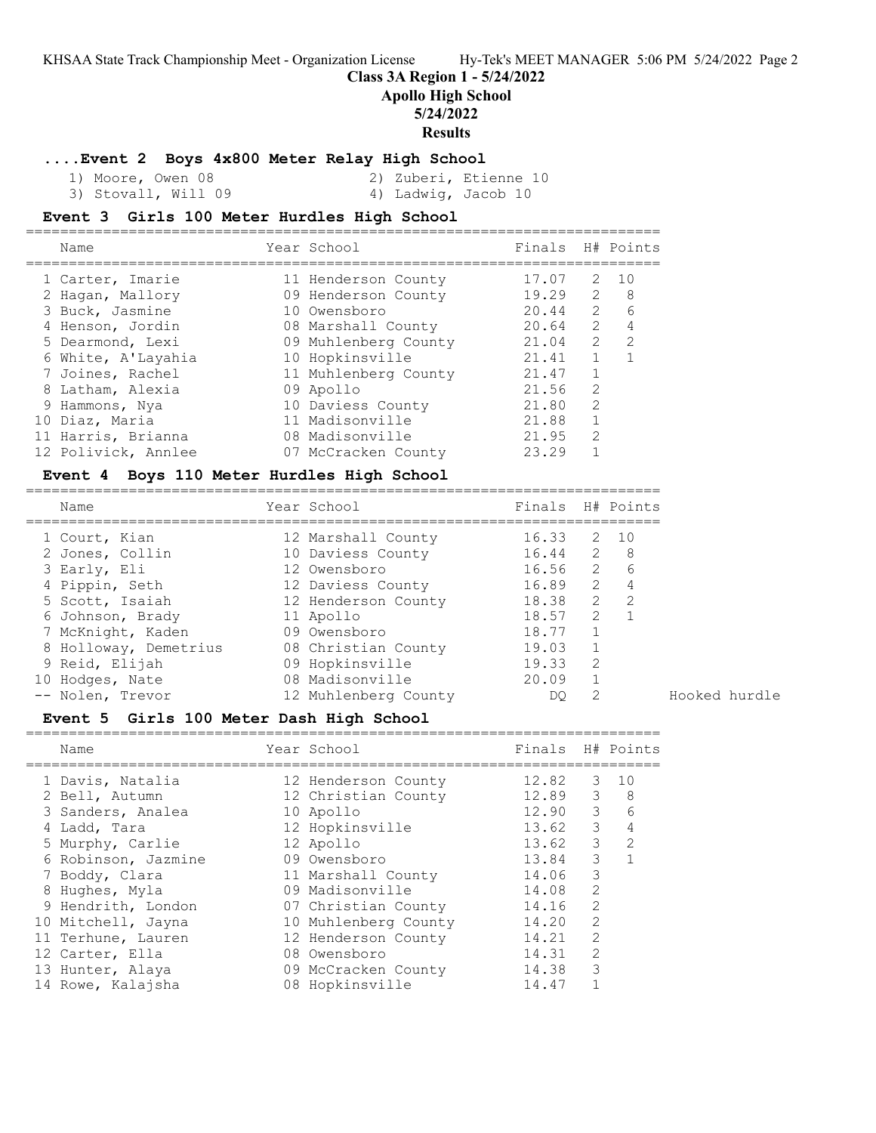### **Class 3A Region 1 - 5/24/2022**

**Apollo High School**

### **5/24/2022**

# **Results**

#### **....Event 2 Boys 4x800 Meter Relay High School**

 1) Moore, Owen 08 2) Zuberi, Etienne 10 3) Stovall, Will 09 4) Ladwig, Jacob 10

## **Event 3 Girls 100 Meter Hurdles High School**

|  | Name                | Year School          | Finals H# Points |                |               |
|--|---------------------|----------------------|------------------|----------------|---------------|
|  | 1 Carter, Imarie    | 11 Henderson County  | 17.07            | 2              | 10            |
|  | 2 Hagan, Mallory    | 09 Henderson County  | 19.29            | 2              | 8             |
|  | 3 Buck, Jasmine     | 10 Owensboro         | 20.44            | $\overline{2}$ | 6             |
|  | 4 Henson, Jordin    | 08 Marshall County   | 20.64            | 2              | 4             |
|  | 5 Dearmond, Lexi    | 09 Muhlenberg County | 21.04            | 2              | $\mathcal{L}$ |
|  | 6 White, A'Layahia  | 10 Hopkinsville      | 21.41            |                |               |
|  | 7 Joines, Rachel    | 11 Muhlenberg County | 21.47            |                |               |
|  | 8 Latham, Alexia    | 09 Apollo            | 21.56            | $\mathcal{L}$  |               |
|  | 9 Hammons, Nya      | 10 Daviess County    | 21.80            | $\mathcal{L}$  |               |
|  | 10 Diaz, Maria      | 11 Madisonville      | 21.88            |                |               |
|  | 11 Harris, Brianna  | 08 Madisonville      | 21.95            | $\mathcal{L}$  |               |
|  | 12 Polivick, Annlee | 07 McCracken County  | 23.29            |                |               |
|  |                     |                      |                  |                |               |

#### **Event 4 Boys 110 Meter Hurdles High School**

========================================================================== Name Year School Finals H# Points ========================================================================== 1 Court, Kian 12 Marshall County 16.33 2 10 2 Jones, Collin 10 Daviess County 16.44 2 8 3 Early, Eli 12 Owensboro 16.56 2 6 4 Pippin, Seth 12 Daviess County 16.89 2 4 5 Scott, Isaiah 12 Henderson County 18.38 2 2 6 Johnson, Brady 11 Apollo 18.57 2 1 7 McKnight, Kaden 09 Owensboro 18.77 1 8 Holloway, Demetrius 08 Christian County 19.03 1 9 Reid, Elijah 09 Hopkinsville 19.33 2 10 Hodges, Nate 08 Madisonville 20.09 1 -- Nolen, Trevor 12 Muhlenberg County DQ 2 Hooked hurdle

### **Event 5 Girls 100 Meter Dash High School**

| Name                | Year School          | Finals H# Points |               |                 |
|---------------------|----------------------|------------------|---------------|-----------------|
| 1 Davis, Natalia    | 12 Henderson County  | 12.82            |               | $3 \quad 10$    |
| 2 Bell, Autumn      | 12 Christian County  | 12.89            |               | $3 \quad 8$     |
| 3 Sanders, Analea   | 10 Apollo            | 12.90            | $3 -$         | $6\overline{6}$ |
| 4 Ladd, Tara        | 12 Hopkinsville      | 13.62            | $\mathcal{S}$ | 4               |
| 5 Murphy, Carlie    | 12 Apollo            | 13.62            | $\mathcal{S}$ | 2               |
| 6 Robinson, Jazmine | 09 Owensboro         | 13.84            | 3             |                 |
| 7 Boddy, Clara      | 11 Marshall County   | 14.06            | 3             |                 |
| 8 Hughes, Myla      | 09 Madisonville      | 14.08            | 2             |                 |
| 9 Hendrith, London  | 07 Christian County  | 14.16            | 2             |                 |
| 10 Mitchell, Jayna  | 10 Muhlenberg County | 14.20            | 2             |                 |
| 11 Terhune, Lauren  | 12 Henderson County  | 14.21            | 2             |                 |
| 12 Carter, Ella     | 08 Owensboro         | 14.31            | 2             |                 |
| 13 Hunter, Alaya    | 09 McCracken County  | 14.38            | 3             |                 |
| 14 Rowe, Kalajsha   | 08 Hopkinsville      | 14.47            |               |                 |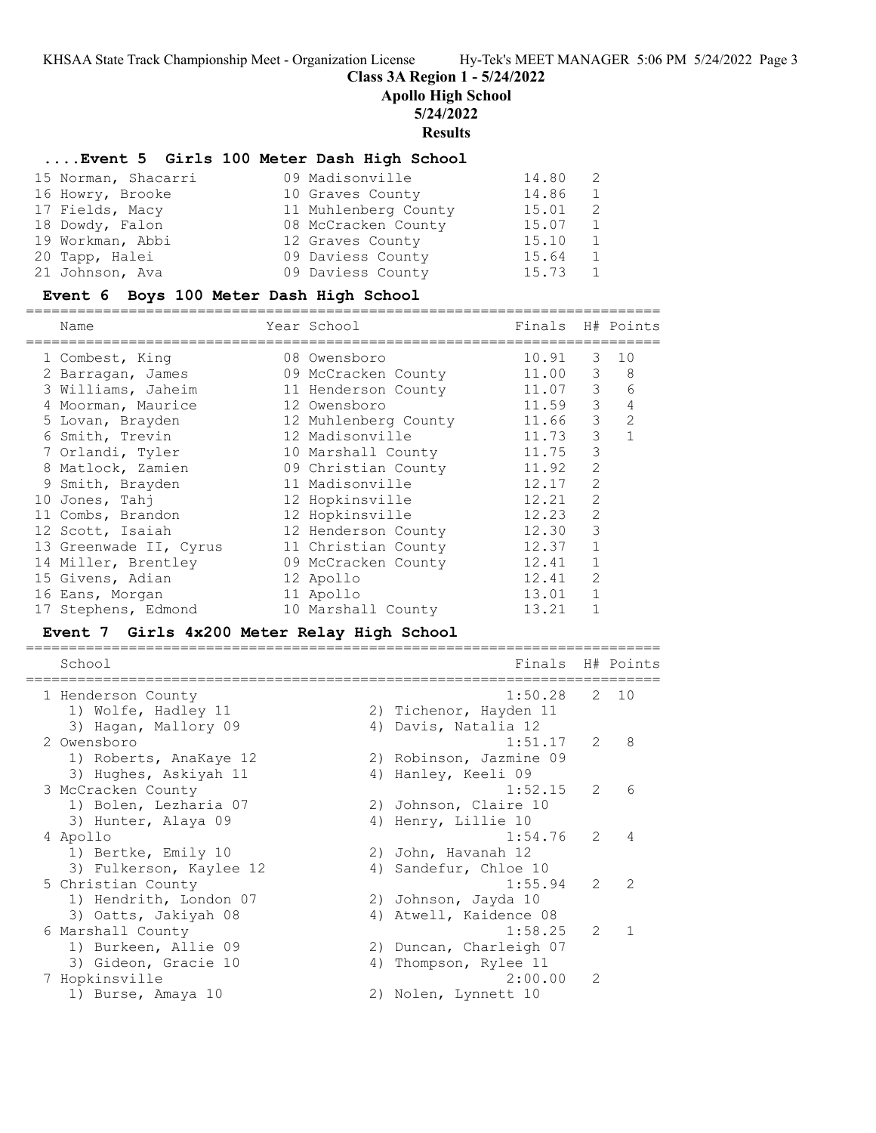**Class 3A Region 1 - 5/24/2022**

**Apollo High School**

### **5/24/2022**

**Results**

#### **....Event 5 Girls 100 Meter Dash High School**

| 15 Norman, Shacarri | 09 Madisonville      | 14.80 | -2             |
|---------------------|----------------------|-------|----------------|
| 16 Howry, Brooke    | 10 Graves County     | 14.86 | 1              |
| 17 Fields, Macy     | 11 Muhlenberg County | 15.01 | -2             |
| 18 Dowdy, Falon     | 08 McCracken County  | 15.07 | $\overline{1}$ |
| 19 Workman, Abbi    | 12 Graves County     | 15.10 | 1              |
| 20 Tapp, Halei      | 09 Daviess County    | 15.64 | $\overline{1}$ |
| 21 Johnson, Ava     | 09 Daviess County    | 15.73 | 1              |

### **Event 6 Boys 100 Meter Dash High School**

========================================================================== Name Year School Finals H# Points ========================================================================== 1 Combest, King 08 Owensboro 10.91 3 10 2 Barragan, James 09 McCracken County 11.00 3 8 3 Williams, Jaheim 11 Henderson County 11.07 3 6 4 Moorman, Maurice 12 Owensboro 11.59 3 4 5 Lovan, Brayden 12 Muhlenberg County 11.66 3 2 6 Smith, Trevin 12 Madisonville 11.73 3 1 7 Orlandi, Tyler 10 Marshall County 11.75 3 8 Matlock, Zamien 09 Christian County 11.92 2 9 Smith, Brayden 11 Madisonville 12.17 2 10 Jones, Tahj 12 Hopkinsville 12.21 2 11 Combs, Brandon 12 Hopkinsville 12.23 2 12 Scott, Isaiah 12 Henderson County 12.30 3 13 Greenwade II, Cyrus 11 Christian County 12.37 1 14 Miller, Brentley 09 McCracken County 12.41 1 15 Givens, Adian 12 Apollo 12.41 2 16 Eans, Morgan 11 Apollo 13.01 1 17 Stephens, Edmond 10 Marshall County 13.21 1

## **Event 7 Girls 4x200 Meter Relay High School**

========================================================================== School Finals H# Points ========================================================================== 1 Henderson County 1:50.28 2 10 1) Wolfe, Hadley 11 2) Tichenor, Hayden 11 3) Hagan, Mallory 09 (4) Davis, Natalia 12 2 Owensboro 1:51.17 2 8 1) Roberts, AnaKaye 12 2) Robinson, Jazmine 09 3) Hughes, Askiyah 11  $\hskip1cm$  4) Hanley, Keeli 09 3 McCracken County 1:52.15 2 6 1) Bolen, Lezharia 07 2) Johnson, Claire 10 3) Hunter, Alaya 09 (4) Henry, Lillie 10 4 Apollo 1:54.76 2 4 1) Bertke, Emily 10 2) John, Havanah 12 3) Fulkerson, Kaylee 12 4) Sandefur, Chloe 10 5 Christian County 1:55.94 2 2 1) Hendrith, London 07 (2) Johnson, Jayda 10 3) Oatts, Jakiyah 08 4) Atwell, Kaidence 08 6 Marshall County 1:58.25 2 1 1) Burkeen, Allie 09 2) Duncan, Charleigh 07 3) Gideon, Gracie 10 4) Thompson, Rylee 11 7 Hopkinsville 2:00.00 2 1) Burse, Amaya 10 2) Nolen, Lynnett 10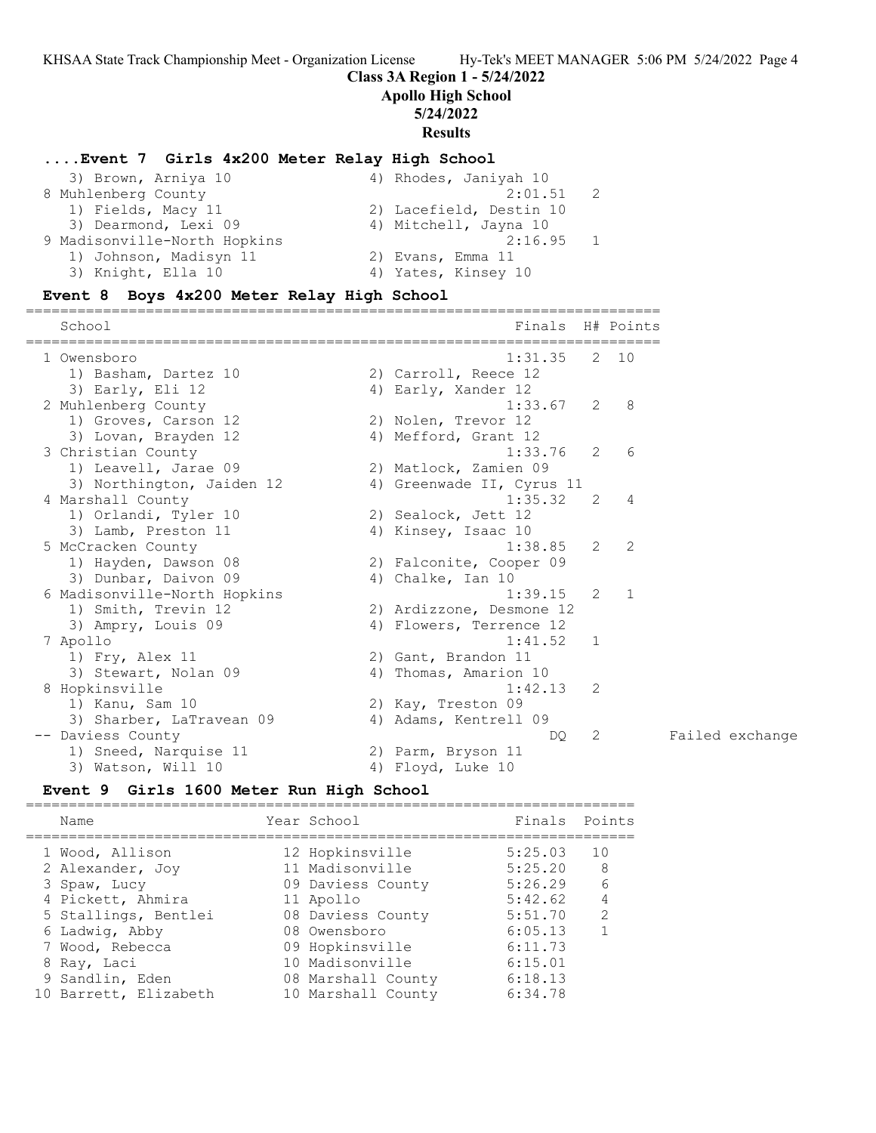## **Class 3A Region 1 - 5/24/2022**

**Apollo High School**

### **5/24/2022**

**Results**

#### **....Event 7 Girls 4x200 Meter Relay High School**

| 3) Brown, Arniya 10          | 4) Rhodes, Janiyah 10   |
|------------------------------|-------------------------|
| 8 Muhlenberg County          | 2:01.51                 |
| 1) Fields, Macy 11           | 2) Lacefield, Destin 10 |
| 3) Dearmond, Lexi 09         | 4) Mitchell, Jayna 10   |
| 9 Madisonville-North Hopkins | $2:16.95$ 1             |
| 1) Johnson, Madisyn 11       | 2) Evans, Emma 11       |
| 3) Knight, Ella 10           | 4) Yates, Kinsey 10     |

==========================================================================

### **Event 8 Boys 4x200 Meter Relay High School**

School Finals H# Points ========================================================================== 1 Owensboro 1:31.35 2 10 1) Basham, Dartez 10 (2) Carroll, Reece 12 3) Early, Eli 12 4) Early, Xander 12 2 Muhlenberg County 1:33.67 2 8 1) Groves, Carson 12 2) Nolen, Trevor 12 3) Lovan, Brayden 12 (4) Mefford, Grant 12 3 Christian County 1:33.76 2 6 1) Leavell, Jarae 09 2) Matlock, Zamien 09 3) Northington, Jaiden 12 4) Greenwade II, Cyrus 11 4 Marshall County 1:35.32 2 4 1) Orlandi, Tyler 10 (2) Sealock, Jett 12 3) Lamb, Preston 11 4) Kinsey, Isaac 10 5 McCracken County 1:38.85 2 2 1) Hayden, Dawson 08 2) Falconite, Cooper 09 3) Dunbar, Daivon 09 4) Chalke, Ian 10 6 Madisonville-North Hopkins 1:39.15 2 1 1) Smith, Trevin 12 2) Ardizzone, Desmone 12 3) Ampry, Louis 09 4) Flowers, Terrence 12 7 Apollo 1:41.52 1 1) Fry, Alex 11 2) Gant, Brandon 11 3) Stewart, Nolan 09 4) Thomas, Amarion 10 8 Hopkinsville 1:42.13 2 1) Kanu, Sam 10 2) Kay, Treston 09 3) Sharber, LaTravean 09 4) Adams, Kentrell 09 -- Daviess County DQ 2 Failed exchange 1) Sneed, Narquise 11 2) Parm, Bryson 11 3) Watson, Will 10 4) Floyd, Luke 10

## **Event 9 Girls 1600 Meter Run High School**

======================================================================= Name The Year School The Points Points ======================================================================= 1 Wood, Allison 12 Hopkinsville 5:25.03 10 2 Alexander, Joy 11 Madisonville 5:25.20 8 3 Spaw, Lucy 09 Daviess County 5:26.29 6 4 Pickett, Ahmira 11 Apollo 5:42.62 4 5 Stallings, Bentlei 08 Daviess County 5:51.70 2 6 Ladwig, Abby 08 Owensboro 6:05.13 1 7 Wood, Rebecca 09 Hopkinsville 6:11.73 8 Ray, Laci 10 Madisonville 6:15.01 9 Sandlin, Eden 08 Marshall County 6:18.13 10 Barrett, Elizabeth 10 Marshall County 6:34.78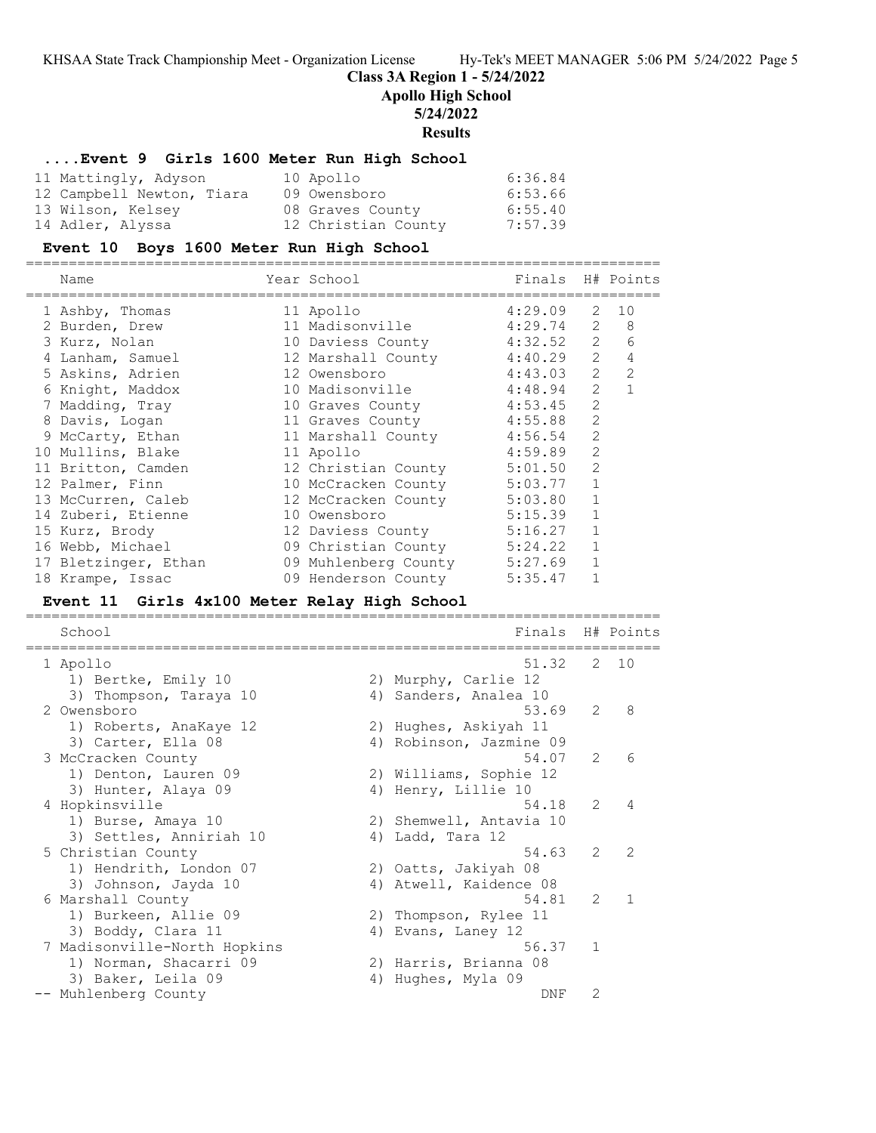**Class 3A Region 1 - 5/24/2022**

**Apollo High School**

## **5/24/2022**

**Results**

### **....Event 9 Girls 1600 Meter Run High School**

| 11 Mattingly, Adyson      | 10 Apollo           | 6:36.84 |
|---------------------------|---------------------|---------|
| 12 Campbell Newton, Tiara | 09 Owensboro        | 6:53.66 |
| 13 Wilson, Kelsey         | 08 Graves County    | 6:55.40 |
| 14 Adler, Alyssa          | 12 Christian County | 7:57.39 |

### **Event 10 Boys 1600 Meter Run High School**

| Name                 | Year School<br>-------------- | Finals H# Points |                |                     |
|----------------------|-------------------------------|------------------|----------------|---------------------|
| 1 Ashby, Thomas      | 11 Apollo                     | 4:29.09          | 2              | 10                  |
| 2 Burden, Drew       | 11 Madisonville               | $4:29.74$ 2      |                | 8                   |
| 3 Kurz, Nolan        | 10 Daviess County             | 4:32.52          |                | $\overline{2}$<br>6 |
| 4 Lanham, Samuel     | 12 Marshall County 4:40.29    |                  | 2              | 4                   |
| 5 Askins, Adrien     | 12 Owensboro                  | 4:43.03          | 2              | 2                   |
| 6 Knight, Maddox     | 10 Madisonville               | 4:48.94          | $\mathcal{L}$  |                     |
| 7 Madding, Tray      | 10 Graves County              | 4:53.45          | $\overline{2}$ |                     |
| 8 Davis, Logan       | 11 Graves County              | 4:55.88          | $\overline{2}$ |                     |
| 9 McCarty, Ethan     | 11 Marshall County 4:56.54    |                  | $\mathcal{L}$  |                     |
| 10 Mullins, Blake    | 11 Apollo                     | 4:59.89          | $\overline{2}$ |                     |
| 11 Britton, Camden   | 12 Christian County           | 5:01.50          | $\mathcal{L}$  |                     |
| 12 Palmer, Finn      | 10 McCracken County           | 5:03.77          | $\mathbf{1}$   |                     |
| 13 McCurren, Caleb   | 12 McCracken County           | 5:03.80          | $\mathbf{1}$   |                     |
| 14 Zuberi, Etienne   | 10 Owensboro                  | 5:15.39          | $\mathbf{1}$   |                     |
| 15 Kurz, Brody       | 12 Daviess County             | 5:16.27          | 1              |                     |
| 16 Webb, Michael     | 09 Christian County           | 5:24.22          | $\mathbf{1}$   |                     |
| 17 Bletzinger, Ethan | 09 Muhlenberg County          | 5:27.69          |                |                     |
| 18 Krampe, Issac     | 09 Henderson County           | 5:35.47          |                |                     |

## **Event 11 Girls 4x100 Meter Relay High School**

========================================================================== School **Finals** H# Points ========================================================================== 1 Apollo 51.32 2 10 1) Bertke, Emily 10 2) Murphy, Carlie 12 3) Thompson, Taraya 10 4) Sanders, Analea 10 2 Owensboro 53.69 2 8 1) Roberts, AnaKaye 12 2) Hughes, Askiyah 11 3) Carter, Ella 08 4) Robinson, Jazmine 09 3 McCracken County 54.07 2 6 1) Denton, Lauren 09 2) Williams, Sophie 12 3) Hunter, Alaya 09  $\hskip1cm$  4) Henry, Lillie 10 4 Hopkinsville 54.18 2 4 1) Burse, Amaya 10 2) Shemwell, Antavia 10 3) Settles, Anniriah 10  $\hspace{1cm}$  4) Ladd, Tara 12 5 Christian County 54.63 2 2 1) Hendrith, London 07 (2) Oatts, Jakiyah 08 3) Johnson, Jayda 10 4) Atwell, Kaidence 08 6 Marshall County 54.81 2 1 1) Burkeen, Allie 09 2) Thompson, Rylee 11 3) Boddy, Clara 11 4) Evans, Laney 12 7 Madisonville-North Hopkins 56.37 1 1) Norman, Shacarri 09 2) Harris, Brianna 08 3) Baker, Leila 09 4) Hughes, Myla 09 -- Muhlenberg County and the county of the DNF 2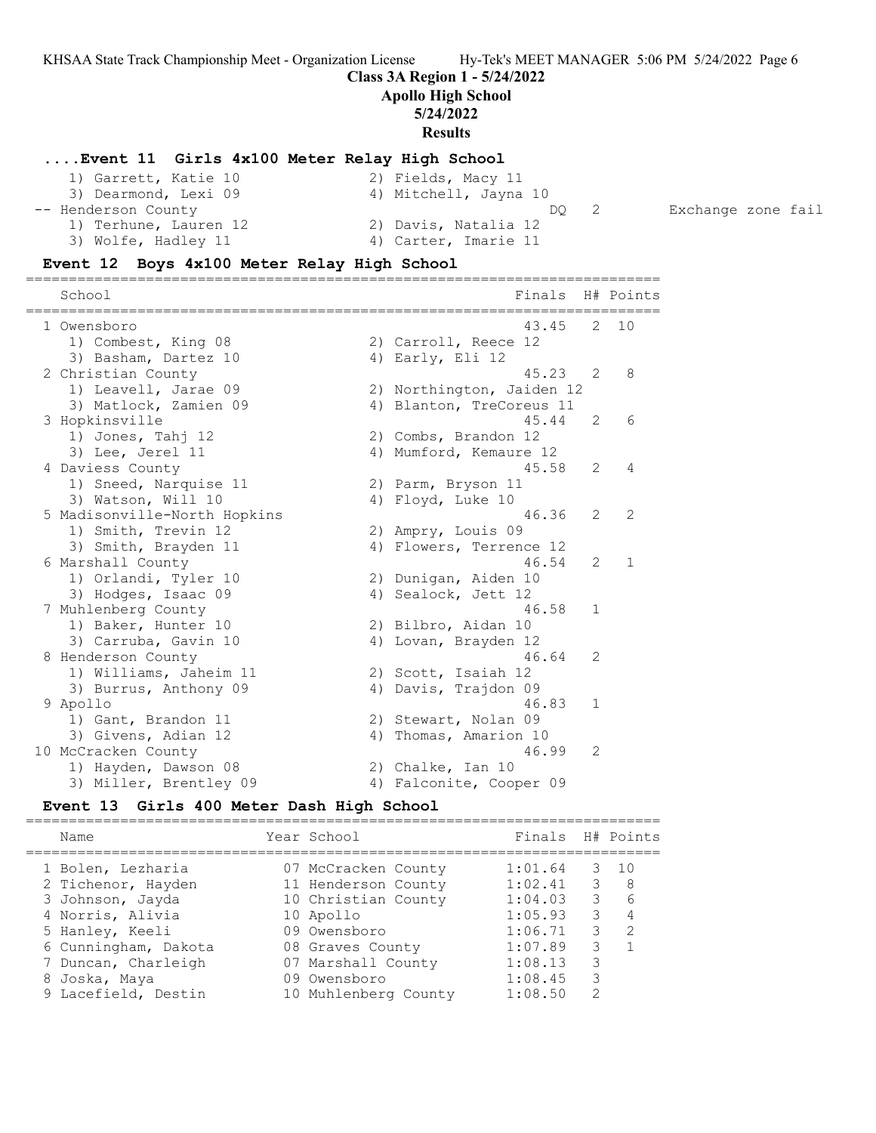**Class 3A Region 1 - 5/24/2022**

**Apollo High School**

# **5/24/2022**

**Results**

### **....Event 11 Girls 4x100 Meter Relay High School**

| 1) Garrett, Katie 10  | 2) Fields, Macy 11    |                    |
|-----------------------|-----------------------|--------------------|
| 3) Dearmond, Lexi 09  | 4) Mitchell, Jayna 10 |                    |
| -- Henderson County   | DO.                   | Exchange zone fail |
| 1) Terhune, Lauren 12 | 2) Davis, Natalia 12  |                    |
| 3) Wolfe, Hadley 11   | 4) Carter, Imarie 11  |                    |

## **Event 12 Boys 4x100 Meter Relay High School**

| -------------------------------<br>School | Finals H# Points          |               | =======       |
|-------------------------------------------|---------------------------|---------------|---------------|
| 1 Owensboro                               | 43.45                     |               | $2 \quad 10$  |
| 1) Combest, King 08                       | 2) Carroll, Reece 12      |               |               |
| 3) Basham, Dartez 10                      | 4) Early, Eli $12$        |               |               |
| 2 Christian County                        | 45.23                     | 2             | 8             |
| 1) Leavell, Jarae 09                      | 2) Northington, Jaiden 12 |               |               |
| 3) Matlock, Zamien 09                     | 4) Blanton, TreCoreus 11  |               |               |
| 3 Hopkinsville                            | 45.44                     | 2             | 6             |
| 1) Jones, Tahj 12                         | 2) Combs, Brandon 12      |               |               |
| 3) Lee, Jerel 11                          | 4) Mumford, Kemaure 12    |               |               |
| 4 Daviess County                          | 45.58                     | 2             | 4             |
| 1) Sneed, Narquise 11                     | 2) Parm, Bryson 11        |               |               |
| 3) Watson, Will 10                        | 4) Floyd, Luke 10         |               |               |
| 5 Madisonville-North Hopkins              | 46.36                     | $\mathcal{L}$ | $\mathcal{L}$ |
| 1) Smith, Trevin 12                       | 2) Ampry, Louis 09        |               |               |
| 3) Smith, Brayden 11                      | 4) Flowers, Terrence 12   |               |               |
| 6 Marshall County                         | 46.54                     | $\mathcal{L}$ | $\mathbf{1}$  |
| 1) Orlandi, Tyler 10                      | 2) Dunigan, Aiden 10      |               |               |
| 3) Hodges, Isaac 09                       | 4) Sealock, Jett 12       |               |               |
| 7 Muhlenberg County                       | 46.58                     | 1             |               |
| 1) Baker, Hunter 10                       | 2) Bilbro, Aidan 10       |               |               |
| 3) Carruba, Gavin 10                      | 4) Lovan, Brayden 12      |               |               |
| 8 Henderson County                        | 46.64                     | 2             |               |
| 1) Williams, Jaheim 11                    | 2) Scott, Isaiah 12       |               |               |
| 3) Burrus, Anthony 09                     | 4) Davis, Trajdon 09      |               |               |
| 9 Apollo                                  | 46.83                     | $\mathbf 1$   |               |
| 1) Gant, Brandon 11                       | 2) Stewart, Nolan 09      |               |               |
| 3) Givens, Adian 12                       | 4) Thomas, Amarion 10     |               |               |
| 10 McCracken County                       | 46.99                     | 2             |               |
| 1) Hayden, Dawson 08                      | 2) Chalke, Ian 10         |               |               |
| 3) Miller, Brentley 09                    | 4) Falconite, Cooper 09   |               |               |

#### **Event 13 Girls 400 Meter Dash High School**

========================================================================== Name Year School Finals H# Points ========================================================================== 1 Bolen, Lezharia 07 McCracken County 1:01.64 3 10 2 Tichenor, Hayden 11 Henderson County 1:02.41 3 8 3 Johnson, Jayda 10 Christian County 1:04.03 3 6 4 Norris, Alivia 10 Apollo 1:05.93 3 4 5 Hanley, Keeli 09 Owensboro 1:06.71 3 2 6 Cunningham, Dakota 08 Graves County 1:07.89 3 1 7 Duncan, Charleigh 07 Marshall County 1:08.13 3 8 Joska, Maya 09 Owensboro 1:08.45 3 9 Lacefield, Destin 10 Muhlenberg County 1:08.50 2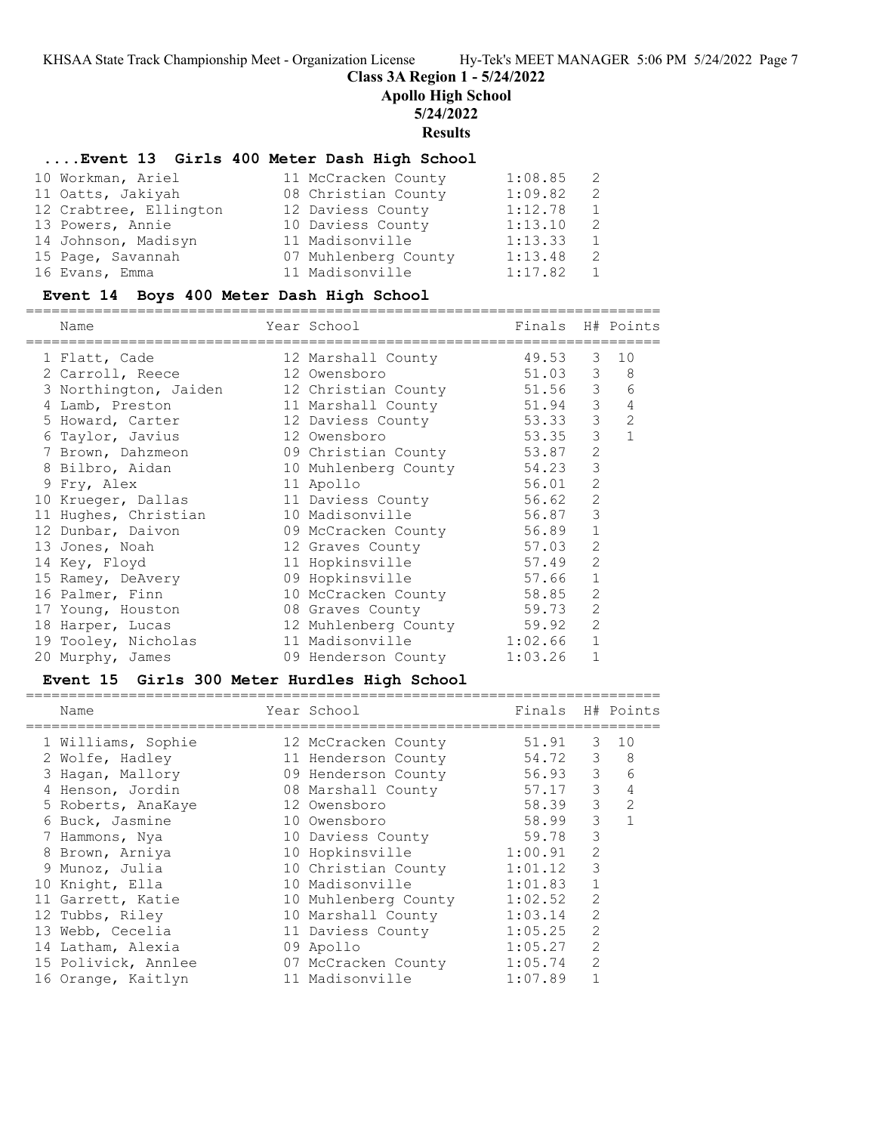**Class 3A Region 1 - 5/24/2022**

**Apollo High School**

# **5/24/2022**

**Results**

# **....Event 13 Girls 400 Meter Dash High School**

| 10 Workman, Ariel      | 11 McCracken County  | 1:08.85 | -2  |
|------------------------|----------------------|---------|-----|
| 11 Oatts, Jakiyah      | 08 Christian County  | 1:09.82 | -2. |
| 12 Crabtree, Ellington | 12 Daviess County    | 1:12.78 | 1   |
| 13 Powers, Annie       | 10 Daviess County    | 1:13.10 | -2. |
| 14 Johnson, Madisyn    | 11 Madisonville      | 1:13.33 | 1   |
| 15 Page, Savannah      | 07 Muhlenberg County | 1:13.48 | -2. |
| 16 Evans, Emma         | 11 Madisonville      | 1:17.82 |     |

# **Event 14 Boys 400 Meter Dash High School**

| Name                  | Year School          | Finals H# Points |                |                |
|-----------------------|----------------------|------------------|----------------|----------------|
| 1 Flatt, Cade         | 12 Marshall County   | 49.53            | 3              | 10             |
| 2 Carroll, Reece      | 12 Owensboro         | 51.03            |                | $3 \quad 8$    |
| 3 Northington, Jaiden | 12 Christian County  | 51.56            | 3 <sup>7</sup> | 6              |
| 4 Lamb, Preston       | 11 Marshall County   | 51.94            | 3 <sup>7</sup> | $\overline{4}$ |
| 5 Howard, Carter      | 12 Daviess County    | 53.33            | 3 <sup>7</sup> | 2              |
| 6 Taylor, Javius      | 12 Owensboro         | 53.35            | 3 <sup>7</sup> | $\mathbf{1}$   |
| 7 Brown, Dahzmeon     | 09 Christian County  | 53.87            | 2              |                |
| 8 Bilbro, Aidan       | 10 Muhlenberg County | 54.23            | 3              |                |
| 9 Fry, Alex           | 11 Apollo            | 56.01            | 2              |                |
| 10 Krueger, Dallas    | 11 Daviess County    | 56.62            | 2              |                |
| 11 Hughes, Christian  | 10 Madisonville      | 56.87            | 3              |                |
| 12 Dunbar, Daivon     | 09 McCracken County  | 56.89            | $\mathbf{1}$   |                |
| 13 Jones, Noah        | 12 Graves County     | 57.03            | 2              |                |
| 14 Key, Floyd         | 11 Hopkinsville      | 57.49            | 2              |                |
| 15 Ramey, DeAvery     | 09 Hopkinsville      | 57.66            | $\mathbf{1}$   |                |
| 16 Palmer, Finn       | 10 McCracken County  | 58.85            | $\mathbf{2}$   |                |
| 17 Young, Houston     | 08 Graves County     | 59.73            | $\overline{2}$ |                |
| 18 Harper, Lucas      | 12 Muhlenberg County | 59.92            | $\overline{2}$ |                |
| 19 Tooley, Nicholas   | 11 Madisonville      | 1:02.66          | $\mathbf{1}$   |                |
| 20 Murphy, James      | 09 Henderson County  | 1:03.26          | $\mathbf{1}$   |                |

# **Event 15 Girls 300 Meter Hurdles High School**

| Name                |  | Finals                                                                                                                                                                                                                                                                                                                                             |                | H# Points |
|---------------------|--|----------------------------------------------------------------------------------------------------------------------------------------------------------------------------------------------------------------------------------------------------------------------------------------------------------------------------------------------------|----------------|-----------|
| 1 Williams, Sophie  |  | 51.91                                                                                                                                                                                                                                                                                                                                              | 3              | 10        |
| 2 Wolfe, Hadley     |  | 54.72                                                                                                                                                                                                                                                                                                                                              | 3              | 8         |
| 3 Hagan, Mallory    |  | 56.93                                                                                                                                                                                                                                                                                                                                              | 3              | 6         |
| 4 Henson, Jordin    |  | 57.17                                                                                                                                                                                                                                                                                                                                              | 3              | 4         |
| 5 Roberts, AnaKaye  |  | 58.39                                                                                                                                                                                                                                                                                                                                              | 3              | 2         |
| 6 Buck, Jasmine     |  | 58.99                                                                                                                                                                                                                                                                                                                                              | 3              |           |
| 7 Hammons, Nya      |  | 59.78                                                                                                                                                                                                                                                                                                                                              | 3              |           |
| Brown, Arniya       |  | 1:00.91                                                                                                                                                                                                                                                                                                                                            | 2              |           |
| 9 Munoz, Julia      |  | 1:01.12                                                                                                                                                                                                                                                                                                                                            | 3              |           |
| 10 Knight, Ella     |  | 1:01.83                                                                                                                                                                                                                                                                                                                                            |                |           |
| 11 Garrett, Katie   |  | 1:02.52                                                                                                                                                                                                                                                                                                                                            | 2              |           |
| 12 Tubbs, Riley     |  | 1:03.14                                                                                                                                                                                                                                                                                                                                            | $\overline{2}$ |           |
| 13 Webb, Cecelia    |  | 1:05.25                                                                                                                                                                                                                                                                                                                                            | $\mathcal{L}$  |           |
| 14 Latham, Alexia   |  | 1:05.27                                                                                                                                                                                                                                                                                                                                            | $\mathcal{D}$  |           |
| 15 Polivick, Annlee |  | 1:05.74                                                                                                                                                                                                                                                                                                                                            | $\mathcal{L}$  |           |
| 16 Orange, Kaitlyn  |  | 1:07.89                                                                                                                                                                                                                                                                                                                                            |                |           |
|                     |  | Year School<br>12 McCracken County<br>11 Henderson County<br>09 Henderson County<br>08 Marshall County<br>12 Owensboro<br>10 Owensboro<br>10 Daviess County<br>10 Hopkinsville<br>10 Christian County<br>10 Madisonville<br>10 Muhlenberg County<br>10 Marshall County<br>11 Daviess County<br>09 Apollo<br>07 McCracken County<br>11 Madisonville |                |           |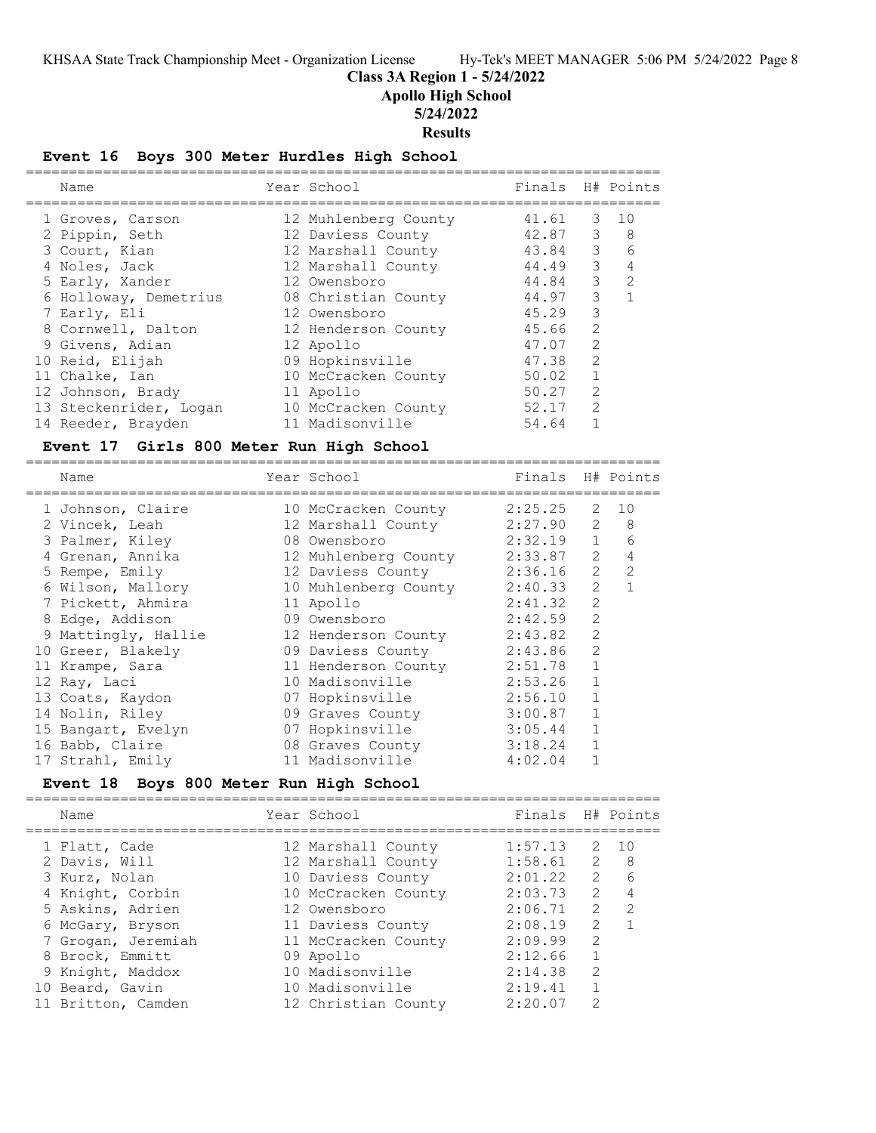**Class 3A Region 1 - 5/24/2022**

**Apollo High School**

**5/24/2022**

**Results**

# **Event 16 Boys 300 Meter Hurdles High School**

| Name                                              | Year School          | Finals  |                | H# Points    |
|---------------------------------------------------|----------------------|---------|----------------|--------------|
|                                                   |                      |         |                |              |
| 1 Groves, Carson                                  | 12 Muhlenberg County | 41.61   | 3              | 10           |
| 2 Pippin, Seth                                    | 12 Daviess County    | 42.87   | $\mathsf 3$    | 8            |
| 3 Court, Kian                                     | 12 Marshall County   | 43.84   | 3              | 6            |
| 4 Noles, Jack                                     | 12 Marshall County   | 44.49   | 3              | 4            |
| 5 Early, Xander                                   | 12 Owensboro         | 44.84   | 3              | 2            |
| 6 Holloway, Demetrius                             | 08 Christian County  | 44.97   | 3              | $\mathbf{1}$ |
| 7 Early, Eli                                      | 12 Owensboro         | 45.29   | 3              |              |
| 8 Cornwell, Dalton                                | 12 Henderson County  | 45.66   | $\overline{c}$ |              |
| 9 Givens, Adian                                   | 12 Apollo            | 47.07   | $\overline{c}$ |              |
| 10 Reid, Elijah                                   | 09 Hopkinsville      | 47.38   | $\overline{c}$ |              |
| 11 Chalke, Ian                                    | 10 McCracken County  | 50.02   | $\mathbf{1}$   |              |
| 12 Johnson, Brady                                 | 11 Apollo            | 50.27   | $\overline{2}$ |              |
| 13 Steckenrider, Logan                            | 10 McCracken County  | 52.17   | $\overline{2}$ |              |
| 14 Reeder, Brayden                                | 11 Madisonville      | 54.64   | $\mathbf{1}$   |              |
| Event 17 Girls 800 Meter Run High School          |                      |         |                |              |
| Name                                              | Year School          | Finals  |                | H# Points    |
|                                                   |                      |         |                |              |
| 1 Johnson, Claire                                 | 10 McCracken County  | 2:25.25 | 2              | 10           |
| 2 Vincek, Leah                                    | 12 Marshall County   | 2:27.90 | 2              | 8            |
| 3 Palmer, Kiley                                   | 08 Owensboro         | 2:32.19 | $\mathbf{1}$   | 6            |
| 4 Grenan, Annika                                  | 12 Muhlenberg County | 2:33.87 | 2              | 4            |
| 5 Rempe, Emily                                    | 12 Daviess County    | 2:36.16 | 2              | 2            |
| 6 Wilson, Mallory                                 | 10 Muhlenberg County | 2:40.33 | $\mathbf{2}$   | $\mathbf{1}$ |
| 7 Pickett, Ahmira                                 | 11 Apollo            | 2:41.32 | $\overline{c}$ |              |
| 8 Edge, Addison                                   | 09 Owensboro         | 2:42.59 | $\overline{c}$ |              |
| 9 Mattingly, Hallie                               | 12 Henderson County  | 2:43.82 | $\overline{c}$ |              |
| 10 Greer, Blakely                                 | 09 Daviess County    | 2:43.86 | $\overline{c}$ |              |
| 11 Krampe, Sara                                   | 11 Henderson County  | 2:51.78 | $\mathbf{1}$   |              |
| 12 Ray, Laci                                      | 10 Madisonville      | 2:53.26 | $\mathbf{1}$   |              |
| 13 Coats, Kaydon                                  | 07 Hopkinsville      | 2:56.10 | $\mathbf{1}$   |              |
| 14 Nolin, Riley                                   | 09 Graves County     | 3:00.87 | $\mathbf{1}$   |              |
| 15 Bangart, Evelyn                                | 07 Hopkinsville      | 3:05.44 | 1              |              |
| 16 Babb, Claire                                   | 08 Graves County     | 3:18.24 | $\mathbf{1}$   |              |
| 17 Strahl, Emily                                  | 11 Madisonville      | 4:02.04 | $\mathbf{1}$   |              |
| Boys 800 Meter Run High School<br><b>Event</b> 18 |                      |         |                |              |
| Name                                              | Year School          | Finals  |                | H# Points    |
| :==============                                   |                      |         |                |              |
| 1 Flatt, Cade                                     | 12 Marshall County   | 1:57.13 | 2              | 10           |
| 2 Davis, Will                                     | 12 Marshall County   | 1:58.61 | 2              | 8            |
| 3 Kurz, Nolan                                     | 10 Daviess County    | 2:01.22 | $\overline{2}$ | 6            |
| 4 Knight, Corbin                                  | 10 McCracken County  | 2:03.73 | 2              | 4            |
| 5 Askins, Adrien                                  | 12 Owensboro         | 2:06.71 | $\overline{2}$ | 2            |

 6 McGary, Bryson 11 Daviess County 2:08.19 2 1 7 Grogan, Jeremiah 11 McCracken County 2:09.99 2 8 Brock, Emmitt 09 Apollo 2:12.66 1 9 Knight, Maddox 10 Madisonville 2:14.38 2

- 
- 10 Beard, Gavin 10 Madisonville 2:19.41 1
- 11 Britton, Camden 12 Christian County 2:20.07 2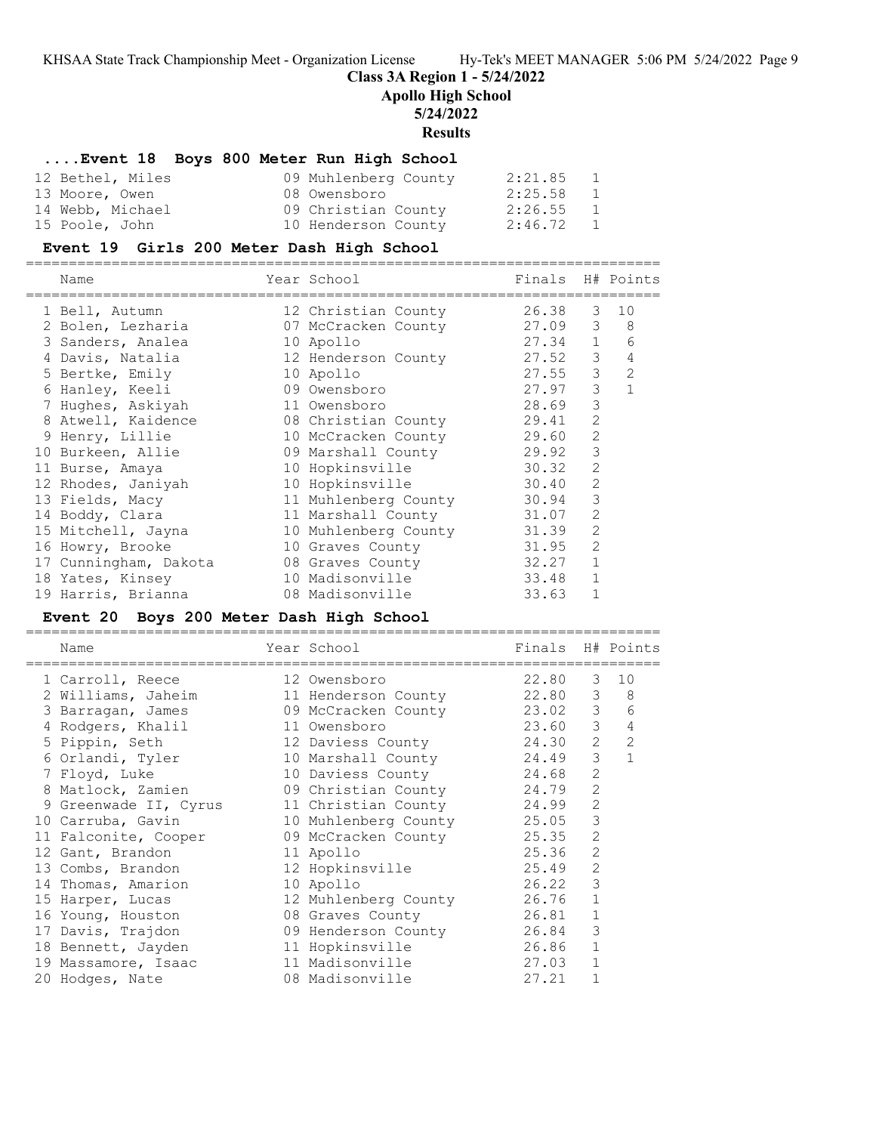**Class 3A Region 1 - 5/24/2022**

**Apollo High School**

# **5/24/2022**

**Results**

# **....Event 18 Boys 800 Meter Run High School**

| 12 Bethel, Miles | 09 Muhlenberg County | 2:21.85     | 1              |
|------------------|----------------------|-------------|----------------|
| 13 Moore, Owen   | 08 Owensboro         | 2:25.58     | $\overline{1}$ |
| 14 Webb, Michael | 09 Christian County  | 2:26.55     | $\overline{1}$ |
| 15 Poole, John   | 10 Henderson County  | $2:46.72$ 1 |                |

# **Event 19 Girls 200 Meter Dash High School**

| Name                  | Year School                | Finals H# Points |                |                |
|-----------------------|----------------------------|------------------|----------------|----------------|
| 1 Bell, Autumn        | 12 Christian County        | 26.38            | 3              | 10             |
| 2 Bolen, Lezharia     | 07 McCracken County        | 27.09            | 3              | - 8            |
| 3 Sanders, Analea     | 10 Apollo                  | 27.34            | $\mathbf{1}$   | 6              |
| 4 Davis, Natalia      | 12 Henderson County        | 27.52            | 3              | 4              |
| 5 Bertke, Emily       | 10 Apollo                  | 27.55            | 3              | $\overline{2}$ |
| 6 Hanley, Keeli       | 09 Owensboro               | 27.97            | 3              | $\mathbf{1}$   |
| 7 Hughes, Askiyah     | 11 Owensboro               | 28.69            | 3              |                |
| 8 Atwell, Kaidence    | 08 Christian County        | 29.41            | 2              |                |
| 9 Henry, Lillie       | 10 McCracken County        | 29.60            | 2              |                |
| 10 Burkeen, Allie     | 09 Marshall County         | 29.92            | 3              |                |
| 11 Burse, Amaya       | 10 Hopkinsville            | 30.32            | 2              |                |
| 12 Rhodes, Janiyah    | 10 Hopkinsville            | 30.40            | $\overline{2}$ |                |
| 13 Fields, Macy       | 11 Muhlenberg County 30.94 |                  | 3              |                |
| 14 Boddy, Clara       | 11 Marshall County         | 31.07            | $\overline{2}$ |                |
| 15 Mitchell, Jayna    | 10 Muhlenberg County 31.39 |                  | $\overline{2}$ |                |
| 16 Howry, Brooke      | 31.95<br>10 Graves County  |                  | 2              |                |
| 17 Cunningham, Dakota | 08 Graves County           | 32.27            | $\mathbf{1}$   |                |
| 18 Yates, Kinsey      | 10 Madisonville            | 33.48            | $\mathbf{1}$   |                |
| 19 Harris, Brianna    | 08 Madisonville            | 33.63            |                |                |

# **Event 20 Boys 200 Meter Dash High School**

|    | Name                  | Year School                | Finals H# Points |                |                |
|----|-----------------------|----------------------------|------------------|----------------|----------------|
|    | 1 Carroll, Reece      | 12 Owensboro               | 22.80            | 3              | 10             |
|    | 2 Williams, Jaheim    | 11 Henderson County        | 22.80            | 3              | 8              |
|    | 3 Barragan, James     | 09 McCracken County        | 23.02            | 3              | 6              |
|    | 4 Rodgers, Khalil     | 23.60<br>11 Owensboro      |                  | 3              | $\overline{4}$ |
|    | 5 Pippin, Seth        | 12 Daviess County          | 24.30            | 2              | $\overline{2}$ |
|    | 6 Orlandi, Tyler      | 10 Marshall County         | 24.49            | 3              | $\mathbf{1}$   |
|    | 7 Floyd, Luke         | 10 Daviess County          | 24.68            | $\overline{2}$ |                |
|    | 8 Matlock, Zamien     | 09 Christian County        | 24.79            | $\overline{c}$ |                |
|    | 9 Greenwade II, Cyrus | 11 Christian County 24.99  |                  | $\overline{2}$ |                |
|    | 10 Carruba, Gavin     | 10 Muhlenberg County 25.05 |                  | 3              |                |
|    | 11 Falconite, Cooper  | 09 McCracken County        | 25.35            | $\overline{2}$ |                |
|    | 12 Gant, Brandon      | 11 Apollo                  | 25.36            | $\overline{2}$ |                |
|    | 13 Combs, Brandon     | 12 Hopkinsville            | 25.49            | $\overline{2}$ |                |
|    | 14 Thomas, Amarion    | 10 Apollo                  | 26.22            | 3              |                |
| 15 | Harper, Lucas         | 12 Muhlenberg County 26.76 |                  | $\mathbf{1}$   |                |
|    | 16 Young, Houston     | 08 Graves County           | 26.81            | $\mathbf{1}$   |                |
|    | 17 Davis, Trajdon     | 09 Henderson County        | 26.84            | 3              |                |
|    | 18 Bennett, Jayden    | 11 Hopkinsville            | 26.86            | $\mathbf{1}$   |                |
|    | 19 Massamore, Isaac   | 11 Madisonville            | 27.03            | $\mathbf{1}$   |                |
|    | 20 Hodges, Nate       | 08 Madisonville            | 27.21            |                |                |
|    |                       |                            |                  |                |                |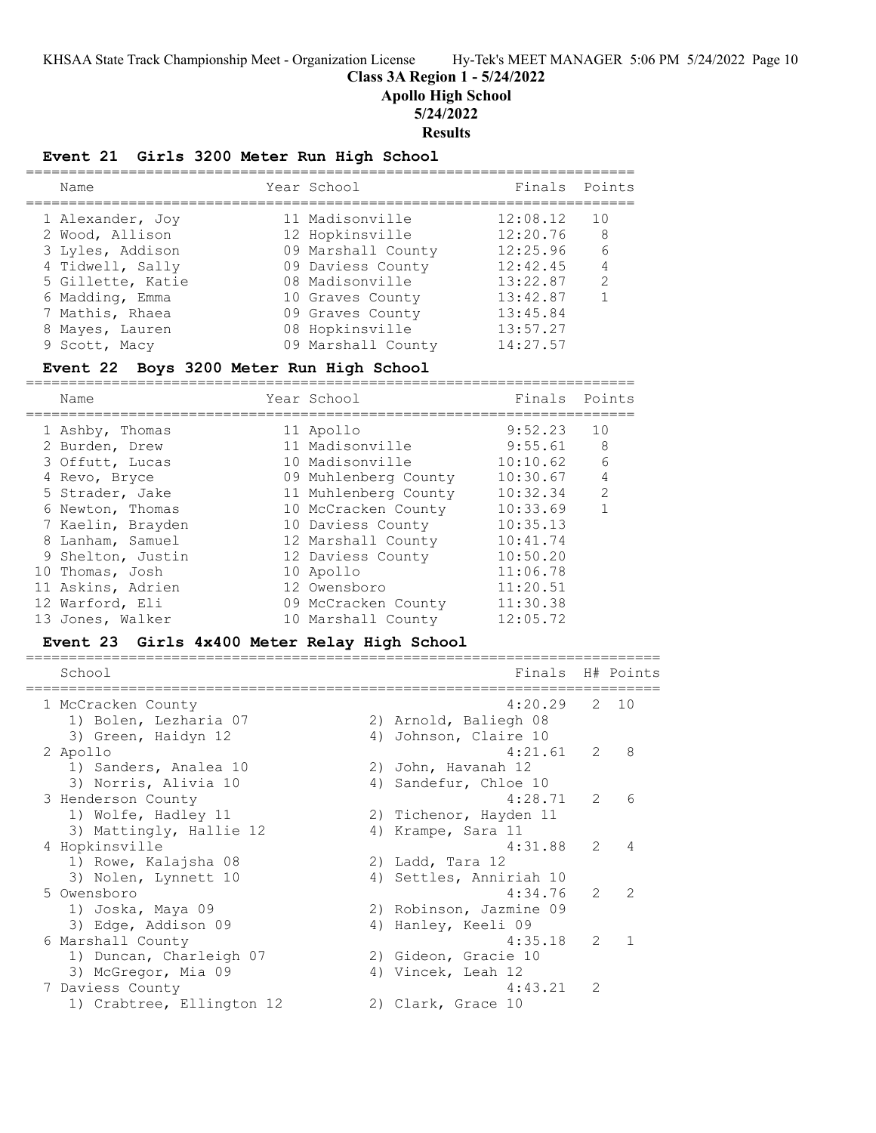**Class 3A Region 1 - 5/24/2022**

**Apollo High School**

**5/24/2022**

**Results**

# **Event 21 Girls 3200 Meter Run High School**

| Name                                  | Year School                           | Finals Points        |               |
|---------------------------------------|---------------------------------------|----------------------|---------------|
| 1 Alexander, Joy<br>2 Wood, Allison   | 11 Madisonville<br>12 Hopkinsville    | 12:08.12<br>12:20.76 | 10<br>8       |
| 3 Lyles, Addison                      | 09 Marshall County                    | 12:25.96             | 6             |
| 4 Tidwell, Sally<br>5 Gillette, Katie | 09 Daviess County<br>08 Madisonville  | 12:42.45<br>13:22.87 | $\mathcal{L}$ |
| 6 Madding, Emma<br>7 Mathis, Rhaea    | 10 Graves County<br>09 Graves County  | 13:42.87<br>13:45.84 |               |
| 8 Mayes, Lauren<br>9 Scott, Macy      | 08 Hopkinsville<br>09 Marshall County | 13:57.27<br>14:27.57 |               |
|                                       |                                       |                      |               |

# **Event 22 Boys 3200 Meter Run High School**

======================================================================= Finals Point

| name |                                                                                                                                                                                                                                                           | Finais                                                                                                                                                                                                                                                                          | POINTS        |
|------|-----------------------------------------------------------------------------------------------------------------------------------------------------------------------------------------------------------------------------------------------------------|---------------------------------------------------------------------------------------------------------------------------------------------------------------------------------------------------------------------------------------------------------------------------------|---------------|
|      |                                                                                                                                                                                                                                                           | 9:52.23                                                                                                                                                                                                                                                                         | 10            |
|      |                                                                                                                                                                                                                                                           | 9:55.61                                                                                                                                                                                                                                                                         | - 8           |
|      |                                                                                                                                                                                                                                                           | 10:10.62                                                                                                                                                                                                                                                                        | 6             |
|      |                                                                                                                                                                                                                                                           | 10:30.67                                                                                                                                                                                                                                                                        | 4             |
|      |                                                                                                                                                                                                                                                           | 10:32.34                                                                                                                                                                                                                                                                        | $\mathcal{L}$ |
|      |                                                                                                                                                                                                                                                           | 10:33.69                                                                                                                                                                                                                                                                        | $\mathbf{1}$  |
|      |                                                                                                                                                                                                                                                           | 10:35.13                                                                                                                                                                                                                                                                        |               |
|      |                                                                                                                                                                                                                                                           | 10:41.74                                                                                                                                                                                                                                                                        |               |
|      |                                                                                                                                                                                                                                                           | 10:50.20                                                                                                                                                                                                                                                                        |               |
|      |                                                                                                                                                                                                                                                           | 11:06.78                                                                                                                                                                                                                                                                        |               |
|      |                                                                                                                                                                                                                                                           | 11:20.51                                                                                                                                                                                                                                                                        |               |
|      |                                                                                                                                                                                                                                                           | 11:30.38                                                                                                                                                                                                                                                                        |               |
|      |                                                                                                                                                                                                                                                           | 12:05.72                                                                                                                                                                                                                                                                        |               |
|      | 1 Ashby, Thomas<br>2 Burden, Drew<br>3 Offutt, Lucas<br>4 Revo, Bryce<br>5 Strader, Jake<br>6 Newton, Thomas<br>7 Kaelin, Brayden<br>8 Lanham, Samuel<br>9 Shelton, Justin<br>10 Thomas, Josh<br>11 Askins, Adrien<br>12 Warford, Eli<br>13 Jones, Walker | rear scnooi<br>11 Apollo<br>11 Madisonville<br>10 Madisonville<br>09 Muhlenberg County<br>11 Muhlenberg County<br>10 McCracken County<br>10 Daviess County<br>12 Marshall County<br>12 Daviess County<br>10 Apollo<br>12 Owensboro<br>09 McCracken County<br>10 Marshall County |               |

# **Event 23 Girls 4x400 Meter Relay High School**

| School                    | Finals                  |               | H# Points                |
|---------------------------|-------------------------|---------------|--------------------------|
| 1 McCracken County        | 4:20.29                 |               | 2 10                     |
| 1) Bolen, Lezharia 07     | 2) Arnold, Baliegh 08   |               |                          |
| 3) Green, Haidyn 12       | 4) Johnson, Claire 10   |               |                          |
| 2 Apollo                  | $4:21.61$ 2             |               | 8                        |
| 1) Sanders, Analea 10     | 2) John, Havanah 12     |               |                          |
| 3) Norris, Alivia 10      | 4) Sandefur, Chloe 10   |               |                          |
| 3 Henderson County        | 4:28.71                 | $\mathcal{L}$ | 6                        |
| 1) Wolfe, Hadley 11       | 2) Tichenor, Hayden 11  |               |                          |
| 3) Mattingly, Hallie 12   | 4) Krampe, Sara 11      |               |                          |
| 4 Hopkinsville            | 4:31.88                 | $\mathcal{L}$ | $\overline{4}$           |
| 1) Rowe, Kalajsha 08      | 2) Ladd, Tara 12        |               |                          |
| 3) Nolen, Lynnett 10      | 4) Settles, Anniriah 10 |               |                          |
| 5 Owensboro               | 4:34.76                 | $\mathcal{P}$ | $\overline{\phantom{0}}$ |
| 1) Joska, Maya 09         | 2) Robinson, Jazmine 09 |               |                          |
| 3) Edge, Addison 09       | 4) Hanley, Keeli 09     |               |                          |
| 6 Marshall County         | 4:35.18                 | $\mathcal{L}$ | $\mathbf{1}$             |
| 1) Duncan, Charleigh 07   | 2) Gideon, Gracie 10    |               |                          |
| 3) McGregor, Mia 09       | 4) Vincek, Leah 12      |               |                          |
| 7 Daviess County          | 4:43.21                 | 2             |                          |
| 1) Crabtree, Ellington 12 | 2) Clark, Grace 10      |               |                          |
|                           |                         |               |                          |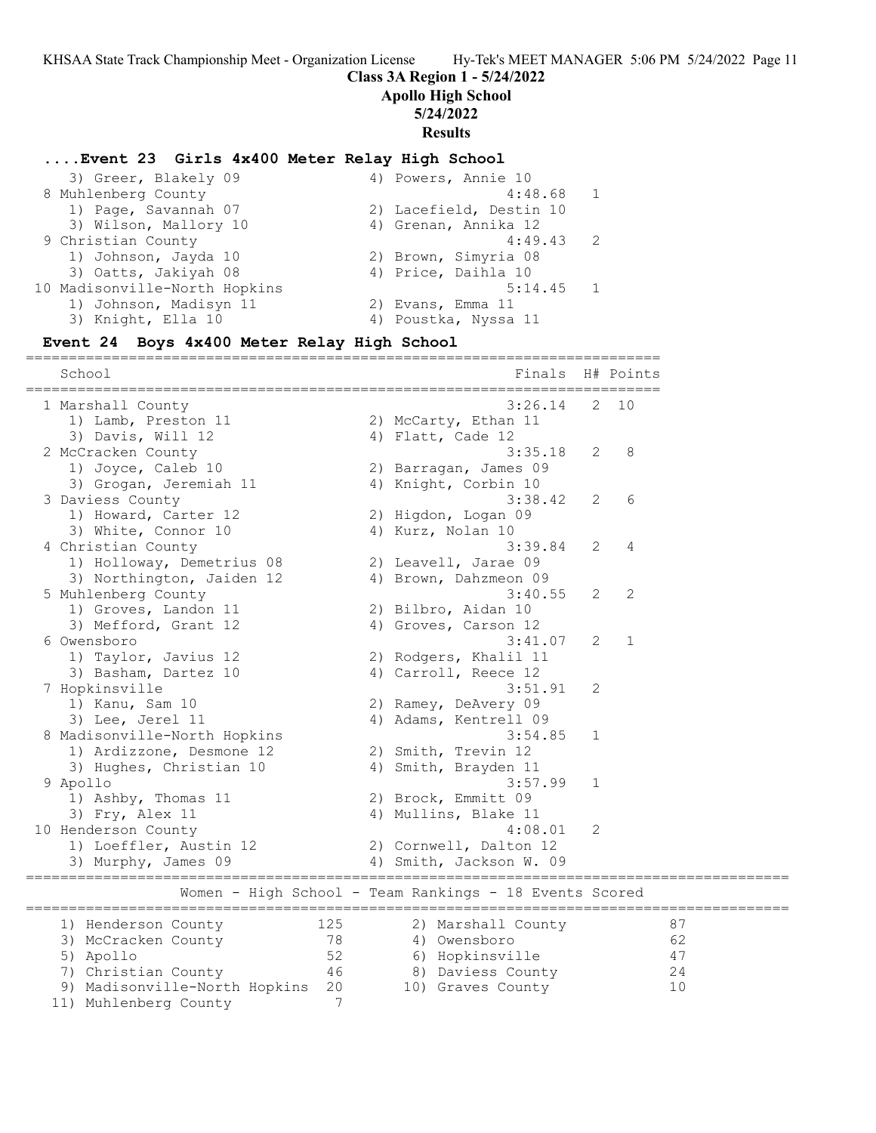## **Class 3A Region 1 - 5/24/2022**

**Apollo High School**

#### **5/24/2022**

**Results**

### **....Event 23 Girls 4x400 Meter Relay High School**

| 3) Greer, Blakely 09          | 4) Powers, Annie 10     |
|-------------------------------|-------------------------|
| 8 Muhlenberg County           | 4:48.68                 |
| 1) Page, Savannah 07          | 2) Lacefield, Destin 10 |
| 3) Wilson, Mallory 10         | 4) Grenan, Annika 12    |
| 9 Christian County            | $4:49.43$ 2             |
| 1) Johnson, Jayda 10          | 2) Brown, Simyria 08    |
| 3) Oatts, Jakiyah 08          | 4) Price, Daihla 10     |
| 10 Madisonville-North Hopkins | 5:14.45<br>$\sqrt{1}$   |
| 1) Johnson, Madisyn 11        | 2) Evans, Emma 11       |
| 3) Knight, Ella 10            | 4) Poustka, Nyssa 11    |
|                               |                         |

## **Event 24 Boys 4x400 Meter Relay High School**

========================================================================== School Finals H# Points ========================================================================== 1 Marshall County 3:26.14 2 10 1) Lamb, Preston 11 2) McCarty, Ethan 11 3) Davis, Will 12 4) Flatt, Cade 12 2 McCracken County 3:35.18 2 8 1) Joyce, Caleb 10 2) Barragan, James 09 3) Grogan, Jeremiah 11  $\hskip10mm$  4) Knight, Corbin 10 3 Daviess County 3:38.42 2 6 1) Howard, Carter 12 (2) Higdon, Logan 09 3) White, Connor 10 4) Kurz, Nolan 10 4 Christian County 3:39.84 2 4 1) Holloway, Demetrius 08 2) Leavell, Jarae 09 3) Northington, Jaiden 12 4) Brown, Dahzmeon 09 5 Muhlenberg County 3:40.55 2 2 1) Groves, Landon 11 2) Bilbro, Aidan 10 3) Mefford, Grant 12 4) Groves, Carson 12 6 Owensboro 3:41.07 2 1 1) Taylor, Javius 12 2) Rodgers, Khalil 11 3) Basham, Dartez 10 (4) Carroll, Reece 12 7 Hopkinsville 3:51.91 2 1) Kanu, Sam 10 2) Ramey, DeAvery 09 3) Lee, Jerel 11 4) Adams, Kentrell 09 8 Madisonville-North Hopkins 3:54.85 1 1) Ardizzone, Desmone 12 (2) Smith, Trevin 12 3) Hughes, Christian 10 4) Smith, Brayden 11 9 Apollo 3:57.99 1 1) Ashby, Thomas 11 2) Brock, Emmitt 09 3) Fry, Alex 11 4) Mullins, Blake 11 10 Henderson County 4:08.01 2 1) Loeffler, Austin 12 2) Cornwell, Dalton 12 3) Murphy, James 09 4) Smith, Jackson W. 09 ========================================================================================= Women - High School - Team Rankings - 18 Events Scored ========================================================================================= 1) Henderson County 125 2) Marshall County 87 3) McCracken County 78 4) Owensboro 62 5) Apollo 52 6) Hopkinsville 47 7) Christian County 46 8) Daviess County 24 9) Madisonville-North Hopkins 20 10) Graves County 10 11) Muhlenberg County 7